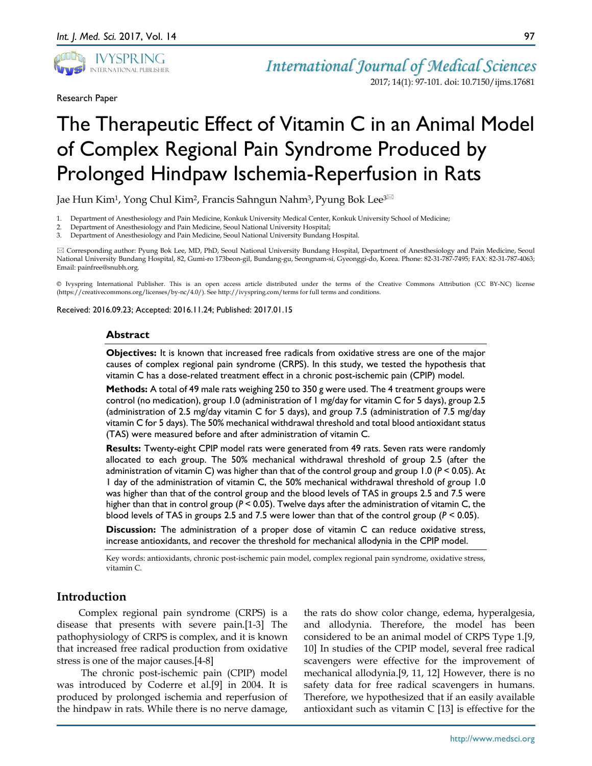

Research Paper

# The Therapeutic Effect of Vitamin C in an Animal Model of Complex Regional Pain Syndrome Produced by Prolonged Hindpaw Ischemia-Reperfusion in Rats

Jae Hun Kim<sup>1</sup>, Yong Chul Kim<sup>2</sup>, Francis Sahngun Nahm<sup>3</sup>, Pyung Bok Lee<sup>3⊠</sup>

- 1. Department of Anesthesiology and Pain Medicine, Konkuk University Medical Center, Konkuk University School of Medicine;
- 2. Department of Anesthesiology and Pain Medicine, Seoul National University Hospital;
- 3. Department of Anesthesiology and Pain Medicine, Seoul National University Bundang Hospital.

 Corresponding author: Pyung Bok Lee, MD, PhD, Seoul National University Bundang Hospital, Department of Anesthesiology and Pain Medicine, Seoul National University Bundang Hospital, 82, Gumi-ro 173beon-gil, Bundang-gu, Seongnam-si, Gyeonggi-do, Korea. Phone: 82-31-787-7495; FAX: 82-31-787-4063; Email: painfree@snubh.org.

© Ivyspring International Publisher. This is an open access article distributed under the terms of the Creative Commons Attribution (CC BY-NC) license (https://creativecommons.org/licenses/by-nc/4.0/). See http://ivyspring.com/terms for full terms and conditions.

Received: 2016.09.23; Accepted: 2016.11.24; Published: 2017.01.15

#### **Abstract**

**Objectives:** It is known that increased free radicals from oxidative stress are one of the major causes of complex regional pain syndrome (CRPS). In this study, we tested the hypothesis that vitamin C has a dose-related treatment effect in a chronic post-ischemic pain (CPIP) model.

**Methods:** A total of 49 male rats weighing 250 to 350 g were used. The 4 treatment groups were control (no medication), group 1.0 (administration of 1 mg/day for vitamin C for 5 days), group 2.5 (administration of 2.5 mg/day vitamin C for 5 days), and group 7.5 (administration of 7.5 mg/day vitamin C for 5 days). The 50% mechanical withdrawal threshold and total blood antioxidant status (TAS) were measured before and after administration of vitamin C.

**Results:** Twenty-eight CPIP model rats were generated from 49 rats. Seven rats were randomly allocated to each group. The 50% mechanical withdrawal threshold of group 2.5 (after the administration of vitamin C) was higher than that of the control group and group 1.0 (*P* < 0.05). At 1 day of the administration of vitamin C, the 50% mechanical withdrawal threshold of group 1.0 was higher than that of the control group and the blood levels of TAS in groups 2.5 and 7.5 were higher than that in control group (*P* < 0.05). Twelve days after the administration of vitamin C, the blood levels of TAS in groups 2.5 and 7.5 were lower than that of the control group (*P* < 0.05).

**Discussion:** The administration of a proper dose of vitamin C can reduce oxidative stress, increase antioxidants, and recover the threshold for mechanical allodynia in the CPIP model.

Key words: antioxidants, chronic post-ischemic pain model, complex regional pain syndrome, oxidative stress, vitamin C.

# **Introduction**

Complex regional pain syndrome (CRPS) is a disease that presents with severe pain.[1-3] The pathophysiology of CRPS is complex, and it is known that increased free radical production from oxidative stress is one of the major causes.[4-8]

The chronic post-ischemic pain (CPIP) model was introduced by Coderre et al.[9] in 2004. It is produced by prolonged ischemia and reperfusion of the hindpaw in rats. While there is no nerve damage,

the rats do show color change, edema, hyperalgesia, and allodynia. Therefore, the model has been considered to be an animal model of CRPS Type 1.[9, 10] In studies of the CPIP model, several free radical scavengers were effective for the improvement of mechanical allodynia.[9, 11, 12] However, there is no safety data for free radical scavengers in humans. Therefore, we hypothesized that if an easily available antioxidant such as vitamin C [13] is effective for the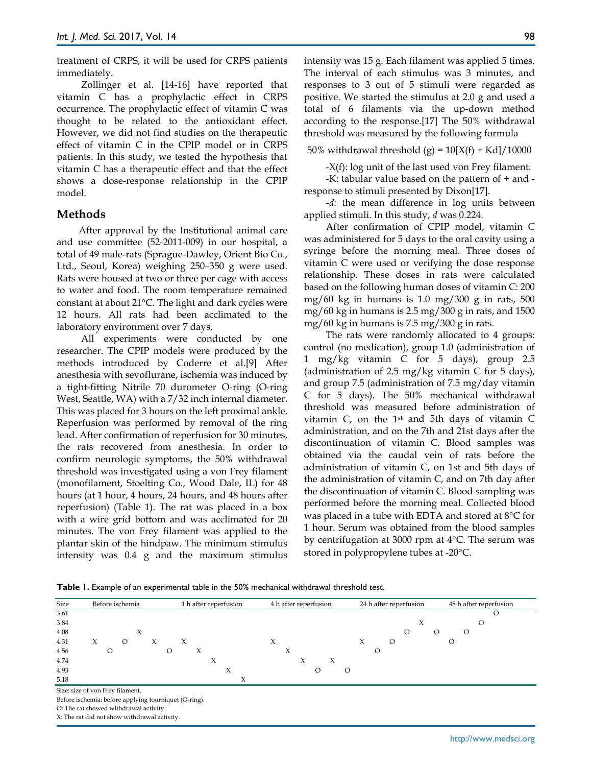treatment of CRPS, it will be used for CRPS patients immediately.

Zollinger et al. [14-16] have reported that vitamin C has a prophylactic effect in CRPS occurrence. The prophylactic effect of vitamin C was thought to be related to the antioxidant effect. However, we did not find studies on the therapeutic effect of vitamin C in the CPIP model or in CRPS patients. In this study, we tested the hypothesis that vitamin C has a therapeutic effect and that the effect shows a dose-response relationship in the CPIP model.

## **Methods**

After approval by the Institutional animal care and use committee (52-2011-009) in our hospital, a total of 49 male-rats (Sprague-Dawley, Orient Bio Co., Ltd., Seoul, Korea) weighing 250–350 g were used. Rats were housed at two or three per cage with access to water and food. The room temperature remained constant at about 21°C. The light and dark cycles were 12 hours. All rats had been acclimated to the laboratory environment over 7 days.

All experiments were conducted by one researcher. The CPIP models were produced by the methods introduced by Coderre et al.[9] After anesthesia with sevoflurane, ischemia was induced by a tight-fitting Nitrile 70 durometer O-ring (O-ring West, Seattle, WA) with a 7/32 inch internal diameter. This was placed for 3 hours on the left proximal ankle. Reperfusion was performed by removal of the ring lead. After confirmation of reperfusion for 30 minutes, the rats recovered from anesthesia. In order to confirm neurologic symptoms, the 50% withdrawal threshold was investigated using a von Frey filament (monofilament, Stoelting Co., Wood Dale, IL) for 48 hours (at 1 hour, 4 hours, 24 hours, and 48 hours after reperfusion) (Table 1). The rat was placed in a box with a wire grid bottom and was acclimated for 20 minutes. The von Frey filament was applied to the plantar skin of the hindpaw. The minimum stimulus intensity was 0.4 g and the maximum stimulus

X: The rat did not show withdrawal activity.

intensity was 15 g. Each filament was applied 5 times. The interval of each stimulus was 3 minutes, and responses to 3 out of 5 stimuli were regarded as positive. We started the stimulus at 2.0 g and used a total of 6 filaments via the up-down method according to the response.[17] The 50% withdrawal threshold was measured by the following formula

50% withdrawal threshold  $(g) = 10[X(f) + Kd]/10000$ 

-X(f): log unit of the last used von Frey filament.

-K: tabular value based on the pattern of + and response to stimuli presented by Dixon[17].

-*d*: the mean difference in log units between applied stimuli. In this study, *d* was 0.224.

After confirmation of CPIP model, vitamin C was administered for 5 days to the oral cavity using a syringe before the morning meal. Three doses of vitamin C were used or verifying the dose response relationship. These doses in rats were calculated based on the following human doses of vitamin C: 200 mg/60 kg in humans is 1.0 mg/300 g in rats, 500 mg/60 kg in humans is 2.5 mg/300 g in rats, and 1500 mg/60 kg in humans is 7.5 mg/300 g in rats.

The rats were randomly allocated to 4 groups: control (no medication), group 1.0 (administration of 1 mg/kg vitamin C for 5 days), group 2.5 (administration of 2.5 mg/kg vitamin C for 5 days), and group 7.5 (administration of 7.5 mg/day vitamin C for 5 days). The 50% mechanical withdrawal threshold was measured before administration of vitamin  $C$ , on the 1<sup>st</sup> and 5th days of vitamin  $C$ administration, and on the 7th and 21st days after the discontinuation of vitamin C. Blood samples was obtained via the caudal vein of rats before the administration of vitamin C, on 1st and 5th days of the administration of vitamin C, and on 7th day after the discontinuation of vitamin C. Blood sampling was performed before the morning meal. Collected blood was placed in a tube with EDTA and stored at 8°C for 1 hour. Serum was obtained from the blood samples by centrifugation at 3000 rpm at 4°C. The serum was stored in polypropylene tubes at -20°C.

**Table 1.** Example of an experimental table in the 50% mechanical withdrawal threshold test.

| Size                                                  | Before ischemia |         |  |   |         | 1 h after reperfusion |   |                     |   |  | 4 h after reperfusion |   |   |  |   |          | 24 h after reperfusion |          |  |  |  | 48 h after reperfusion |         |  |  |  |
|-------------------------------------------------------|-----------------|---------|--|---|---------|-----------------------|---|---------------------|---|--|-----------------------|---|---|--|---|----------|------------------------|----------|--|--|--|------------------------|---------|--|--|--|
| 3.61                                                  |                 |         |  |   |         |                       |   |                     |   |  |                       |   |   |  |   |          |                        |          |  |  |  |                        |         |  |  |  |
| 3.84                                                  |                 |         |  |   |         |                       |   |                     |   |  |                       |   |   |  |   |          |                        |          |  |  |  |                        |         |  |  |  |
| 4.08                                                  | Х               |         |  |   |         |                       |   |                     |   |  |                       |   |   |  |   |          |                        | $\Omega$ |  |  |  |                        | $\circ$ |  |  |  |
| 4.31                                                  | X               | $\circ$ |  | X |         | X                     |   |                     |   |  | X                     |   |   |  |   |          |                        |          |  |  |  |                        |         |  |  |  |
| 4.56                                                  | O               |         |  |   | $\circ$ |                       | X |                     |   |  |                       | л |   |  |   |          |                        |          |  |  |  |                        |         |  |  |  |
| 4.74                                                  |                 |         |  |   |         |                       |   | $\boldsymbol{\chi}$ |   |  |                       |   | X |  | Х |          |                        |          |  |  |  |                        |         |  |  |  |
| 4.93                                                  |                 |         |  |   |         |                       |   |                     | X |  |                       |   |   |  |   | $\Omega$ |                        |          |  |  |  |                        |         |  |  |  |
| 5.18                                                  |                 |         |  |   |         |                       |   |                     | X |  |                       |   |   |  |   |          |                        |          |  |  |  |                        |         |  |  |  |
| Size: size of von Frey filament.                      |                 |         |  |   |         |                       |   |                     |   |  |                       |   |   |  |   |          |                        |          |  |  |  |                        |         |  |  |  |
| Before ischemia: before applying tourniquet (O-ring). |                 |         |  |   |         |                       |   |                     |   |  |                       |   |   |  |   |          |                        |          |  |  |  |                        |         |  |  |  |
| O The rat showed withdrawal activity                  |                 |         |  |   |         |                       |   |                     |   |  |                       |   |   |  |   |          |                        |          |  |  |  |                        |         |  |  |  |

http://www.medsci.org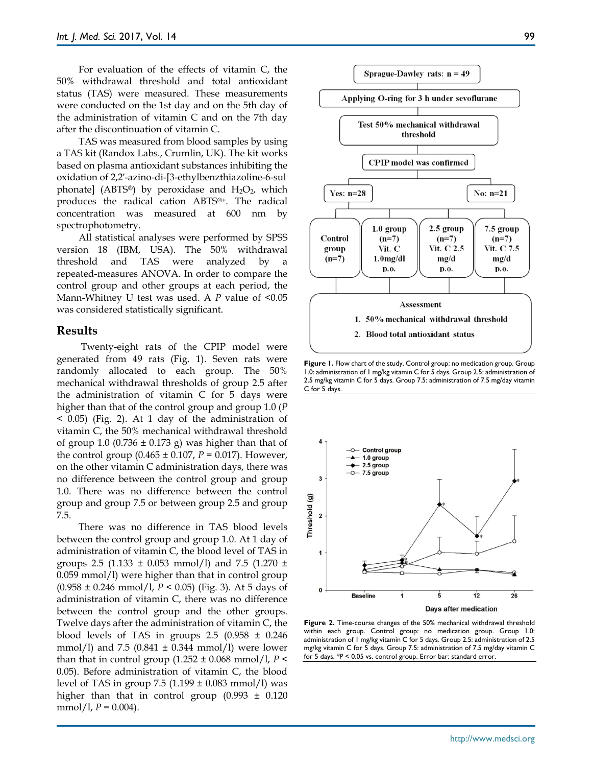For evaluation of the effects of vitamin C, the 50% withdrawal threshold and total antioxidant status (TAS) were measured. These measurements were conducted on the 1st day and on the 5th day of the administration of vitamin C and on the 7th day after the discontinuation of vitamin C.

TAS was measured from blood samples by using a TAS kit (Randox Labs., Crumlin, UK). The kit works based on plasma antioxidant substances inhibiting the oxidation of 2,2′-azino-di-[3-ethylbenzthiazoline-6-sul phonate] (ABTS®) by peroxidase and  $H_2O_2$ , which produces the radical cation ABTS®+. The radical concentration was measured at 600 nm by spectrophotometry.

All statistical analyses were performed by SPSS version 18 (IBM, USA). The 50% withdrawal threshold and TAS were analyzed by a repeated-measures ANOVA. In order to compare the control group and other groups at each period, the Mann-Whitney U test was used. A *P* value of <0.05 was considered statistically significant.

## **Results**

Twenty-eight rats of the CPIP model were generated from 49 rats (Fig. 1). Seven rats were randomly allocated to each group. The 50% mechanical withdrawal thresholds of group 2.5 after the administration of vitamin C for 5 days were higher than that of the control group and group 1.0 (*P*  < 0.05) (Fig. 2). At 1 day of the administration of vitamin C, the 50% mechanical withdrawal threshold of group 1.0 (0.736  $\pm$  0.173 g) was higher than that of the control group  $(0.465 \pm 0.107, P = 0.017)$ . However, on the other vitamin C administration days, there was no difference between the control group and group 1.0. There was no difference between the control group and group 7.5 or between group 2.5 and group 7.5.

There was no difference in TAS blood levels between the control group and group 1.0. At 1 day of administration of vitamin C, the blood level of TAS in groups 2.5 (1.133  $\pm$  0.053 mmol/l) and 7.5 (1.270  $\pm$ 0.059 mmol/l) were higher than that in control group (0.958 ± 0.246 mmol/l, *P* < 0.05) (Fig. 3). At 5 days of administration of vitamin C, there was no difference between the control group and the other groups. Twelve days after the administration of vitamin C, the blood levels of TAS in groups  $2.5$  (0.958  $\pm$  0.246 mmol/l) and 7.5 (0.841  $\pm$  0.344 mmol/l) were lower than that in control group  $(1.252 \pm 0.068 \text{ mmol/l}, P <$ 0.05). Before administration of vitamin C, the blood level of TAS in group  $7.5$  (1.199  $\pm$  0.083 mmol/l) was higher than that in control group  $(0.993 \pm 0.120)$ mmol/l,  $P = 0.004$ ).



**Figure 1.** Flow chart of the study. Control group: no medication group. Group 1.0: administration of 1 mg/kg vitamin C for 5 days. Group 2.5: administration of 2.5 mg/kg vitamin C for 5 days. Group 7.5: administration of 7.5 mg/day vitamin C for 5 days.



**Figure 2.** Time-course changes of the 50% mechanical withdrawal threshold within each group. Control group: no medication group. Group 1.0: administration of 1 mg/kg vitamin C for 5 days. Group 2.5: administration of 2.5 mg/kg vitamin C for 5 days. Group 7.5: administration of 7.5 mg/day vitamin C for 5 days. \**P* < 0.05 vs. control group. Error bar: standard error.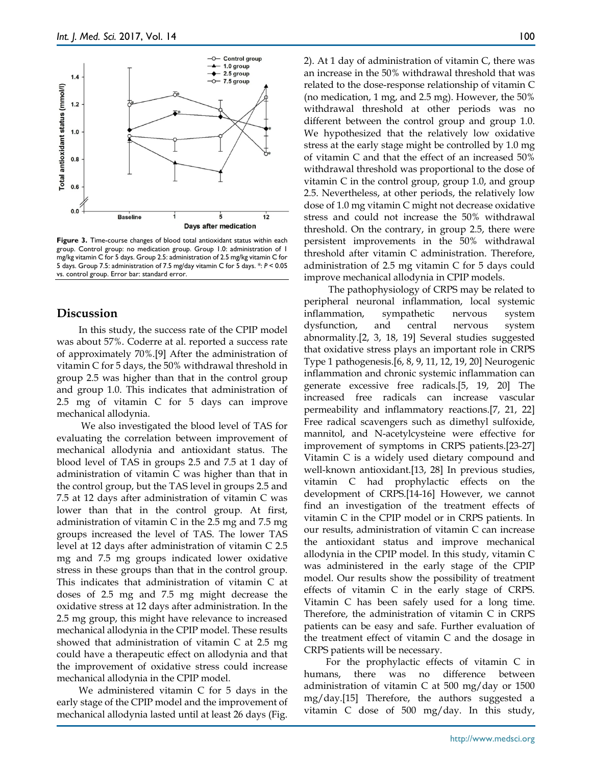

**Figure** 3. Time-course changes of blood total antioxidant status within each group. Control group: no medication group. Group 1.0: administration of 1 mg/kg vitamin C for 5 days. Group 2.5: administration of 2.5 mg/kg vitamin C for 5 days. Group 7.5: administration of 7.5 mg/day vitamin C for 5 days. \*: *P* < 0.05 vs. control group. Error bar: standard error.

# **Discussion**

In this study, the success rate of the CPIP model was about 57%. Coderre at al. reported a success rate of approximately 70%.[9] After the administration of vitamin C for 5 days, the 50% withdrawal threshold in group 2.5 was higher than that in the control group and group 1.0. This indicates that administration of 2.5 mg of vitamin C for 5 days can improve mechanical allodynia.

We also investigated the blood level of TAS for evaluating the correlation between improvement of mechanical allodynia and antioxidant status. The blood level of TAS in groups 2.5 and 7.5 at 1 day of administration of vitamin C was higher than that in the control group, but the TAS level in groups 2.5 and 7.5 at 12 days after administration of vitamin C was lower than that in the control group. At first, administration of vitamin C in the 2.5 mg and 7.5 mg groups increased the level of TAS. The lower TAS level at 12 days after administration of vitamin C 2.5 mg and 7.5 mg groups indicated lower oxidative stress in these groups than that in the control group. This indicates that administration of vitamin C at doses of 2.5 mg and 7.5 mg might decrease the oxidative stress at 12 days after administration. In the 2.5 mg group, this might have relevance to increased mechanical allodynia in the CPIP model. These results showed that administration of vitamin C at 2.5 mg could have a therapeutic effect on allodynia and that the improvement of oxidative stress could increase mechanical allodynia in the CPIP model.

We administered vitamin C for 5 days in the early stage of the CPIP model and the improvement of mechanical allodynia lasted until at least 26 days (Fig.

2). At 1 day of administration of vitamin C, there was an increase in the 50% withdrawal threshold that was related to the dose-response relationship of vitamin C (no medication, 1 mg, and 2.5 mg). However, the 50% withdrawal threshold at other periods was no different between the control group and group 1.0. We hypothesized that the relatively low oxidative stress at the early stage might be controlled by 1.0 mg of vitamin C and that the effect of an increased 50% withdrawal threshold was proportional to the dose of vitamin C in the control group, group 1.0, and group 2.5. Nevertheless, at other periods, the relatively low dose of 1.0 mg vitamin C might not decrease oxidative stress and could not increase the 50% withdrawal threshold. On the contrary, in group 2.5, there were persistent improvements in the 50% withdrawal threshold after vitamin C administration. Therefore, administration of 2.5 mg vitamin C for 5 days could improve mechanical allodynia in CPIP models.

The pathophysiology of CRPS may be related to peripheral neuronal inflammation, local systemic inflammation, sympathetic nervous system dysfunction, and central nervous system abnormality.[2, 3, 18, 19] Several studies suggested that oxidative stress plays an important role in CRPS Type 1 pathogenesis.[6, 8, 9, 11, 12, 19, 20] Neurogenic inflammation and chronic systemic inflammation can generate excessive free radicals.[5, 19, 20] The increased free radicals can increase vascular permeability and inflammatory reactions.[7, 21, 22] Free radical scavengers such as dimethyl sulfoxide, mannitol, and N-acetylcysteine were effective for improvement of symptoms in CRPS patients.[23-27] Vitamin C is a widely used dietary compound and well-known antioxidant.[13, 28] In previous studies, vitamin C had prophylactic effects on the development of CRPS.[14-16] However, we cannot find an investigation of the treatment effects of vitamin C in the CPIP model or in CRPS patients. In our results, administration of vitamin C can increase the antioxidant status and improve mechanical allodynia in the CPIP model. In this study, vitamin C was administered in the early stage of the CPIP model. Our results show the possibility of treatment effects of vitamin C in the early stage of CRPS. Vitamin C has been safely used for a long time. Therefore, the administration of vitamin C in CRPS patients can be easy and safe. Further evaluation of the treatment effect of vitamin C and the dosage in CRPS patients will be necessary.

For the prophylactic effects of vitamin C in humans, there was no difference between administration of vitamin C at 500 mg/day or 1500 mg/day.[15] Therefore, the authors suggested a vitamin C dose of 500 mg/day. In this study,